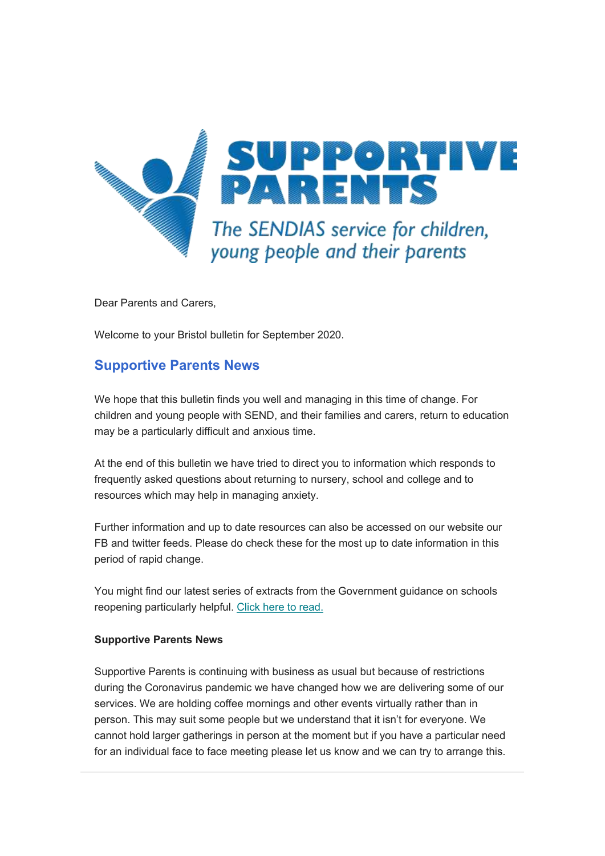

Dear Parents and Carers,

Welcome to your Bristol bulletin for September 2020.

# **Supportive Parents News**

We hope that this bulletin finds you well and managing in this time of change. For children and young people with SEND, and their families and carers, return to education may be a particularly difficult and anxious time.

At the end of this bulletin we have tried to direct you to information which responds to frequently asked questions about returning to nursery, school and college and to resources which may help in managing anxiety.

Further information and up to date resources can also be accessed on our website our FB and twitter feeds. Please do check these for the most up to date information in this period of rapid change.

You might find our latest series of extracts from the Government guidance on schools reopening particularly helpful. [Click here to read.](https://www.supportiveparents.org.uk/government-guidance-on-schools-reopening-2/)

#### **Supportive Parents News**

Supportive Parents is continuing with business as usual but because of restrictions during the Coronavirus pandemic we have changed how we are delivering some of our services. We are holding coffee mornings and other events virtually rather than in person. This may suit some people but we understand that it isn't for everyone. We cannot hold larger gatherings in person at the moment but if you have a particular need for an individual face to face meeting please let us know and we can try to arrange this.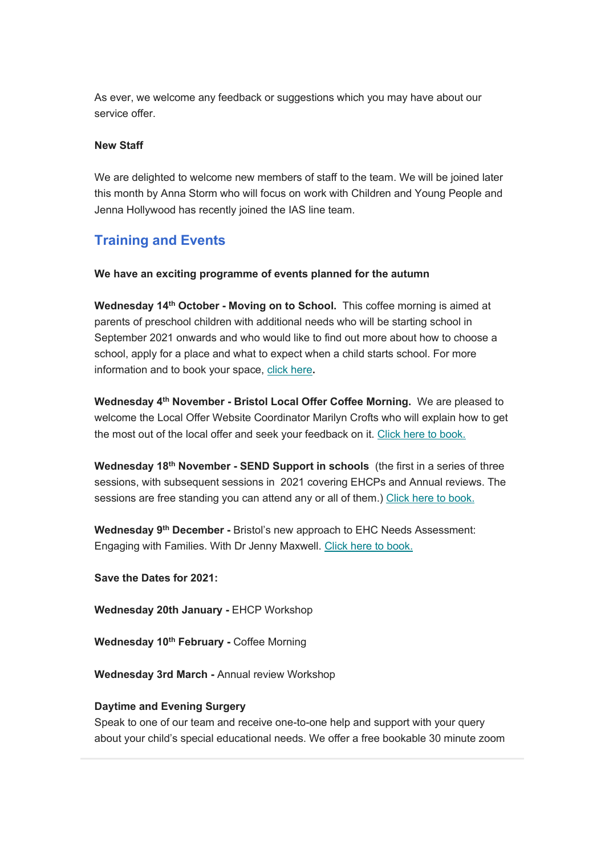As ever, we welcome any feedback or suggestions which you may have about our service offer.

#### **New Staff**

We are delighted to welcome new members of staff to the team. We will be joined later this month by Anna Storm who will focus on work with Children and Young People and Jenna Hollywood has recently joined the IAS line team.

# **Training and Events**

## **We have an exciting programme of events planned for the autumn**

**Wednesday 14th October - Moving on to School.** This coffee morning is aimed at parents of preschool children with additional needs who will be starting school in September 2021 onwards and who would like to find out more about how to choose a school, apply for a place and what to expect when a child starts school. For more information and to book your space, [click here](https://movingontoschool.eventbrite.co.uk/)**.**

**Wednesday 4th November - Bristol Local Offer Coffee Morning.** We are pleased to welcome the Local Offer Website Coordinator Marilyn Crofts who will explain how to get the most out of the local offer and seek your feedback on it. [Click here to book.](https://bristollocaloffercoffeemorning.eventbrite.co.uk/)

**Wednesday 18th November - SEND Support in schools** (the first in a series of three sessions, with subsequent sessions in 2021 covering EHCPs and Annual reviews. The sessions are free standing you can attend any or all of them.) [Click here to book.](https://sendsupportinschools.eventbrite.co.uk/)

**Wednesday 9th December -** Bristol's new approach to EHC Needs Assessment: Engaging with Families. With Dr Jenny Maxwell. [Click here to book.](https://ehcna.eventbrite.co.uk/)

**Save the Dates for 2021:**

**Wednesday 20th January -** EHCP Workshop

**Wednesday 10th February -** Coffee Morning

**Wednesday 3rd March -** Annual review Workshop

## **Daytime and Evening Surgery**

Speak to one of our team and receive one-to-one help and support with your query about your child's special educational needs. We offer a free bookable 30 minute zoom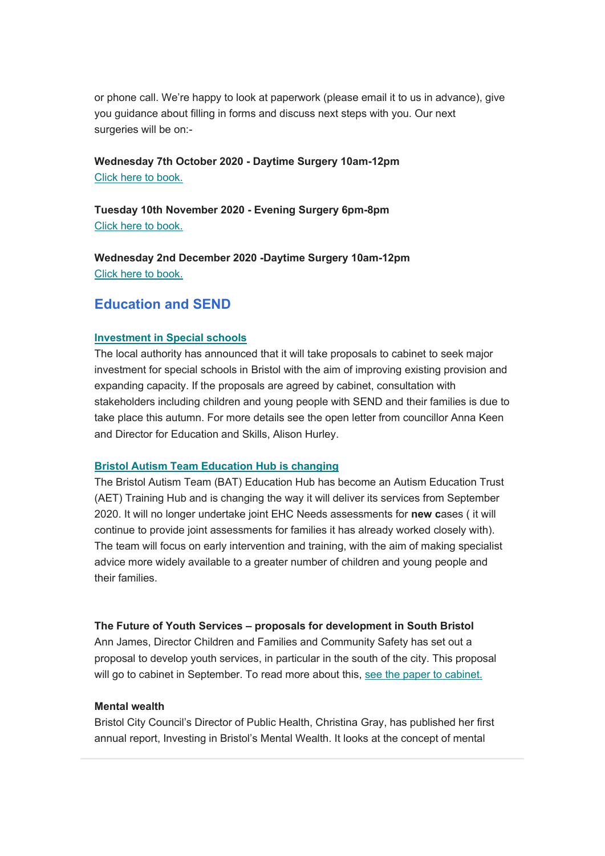or phone call. We're happy to look at paperwork (please email it to us in advance), give you guidance about filling in forms and discuss next steps with you. Our next surgeries will be on:-

## **Wednesday 7th October 2020 - Daytime Surgery 10am-12pm** [Click here to book.](https://sendsurgery.eventbrite.co.uk/)

**Tuesday 10th November 2020 - Evening Surgery 6pm-8pm** [Click here to book.](https://bristolsendsurgerynov10th.eventbrite.co.uk/)

**Wednesday 2nd December 2020 -Daytime Surgery 10am-12pm** [Click here to book.](https://sendsurgery2.eventbrite.co.uk/)

# **Education and SEND**

## **[Investment in Special schools](https://www.bristol.gov.uk/documents/2193095/4483453/SEND+Sufficiency+and+Capital+Proposals.pdf/1d1a5470-8aaf-e269-908f-7c60a1962654)**

The local authority has announced that it will take proposals to cabinet to seek major investment for special schools in Bristol with the aim of improving existing provision and expanding capacity. If the proposals are agreed by cabinet, consultation with stakeholders including children and young people with SEND and their families is due to take place this autumn. For more details see the open letter from councillor Anna Keen and Director for Education and Skills, Alison Hurley.

## **[Bristol Autism Team Education Hub is changing](https://www.bristol.gov.uk/web/bristol-local-offer/about/send-news)**

The Bristol Autism Team (BAT) Education Hub has become an Autism Education Trust (AET) Training Hub and is changing the way it will deliver its services from September 2020. It will no longer undertake joint EHC Needs assessments for **new c**ases ( it will continue to provide joint assessments for families it has already worked closely with). The team will focus on early intervention and training, with the aim of making specialist advice more widely available to a greater number of children and young people and their families.

## **The Future of Youth Services – proposals for development in South Bristol**

Ann James, Director Children and Families and Community Safety has set out a proposal to develop youth services, in particular in the south of the city. This proposal will go to cabinet in September. To read more about this, [see the paper to cabinet.](https://democracy.bristol.gov.uk/ieListDocuments.aspx?CId=135&MId=8399)

## **Mental wealth**

Bristol City Council's Director of Public Health, Christina Gray, has published her first annual report, Investing in Bristol's Mental Wealth. It looks at the concept of mental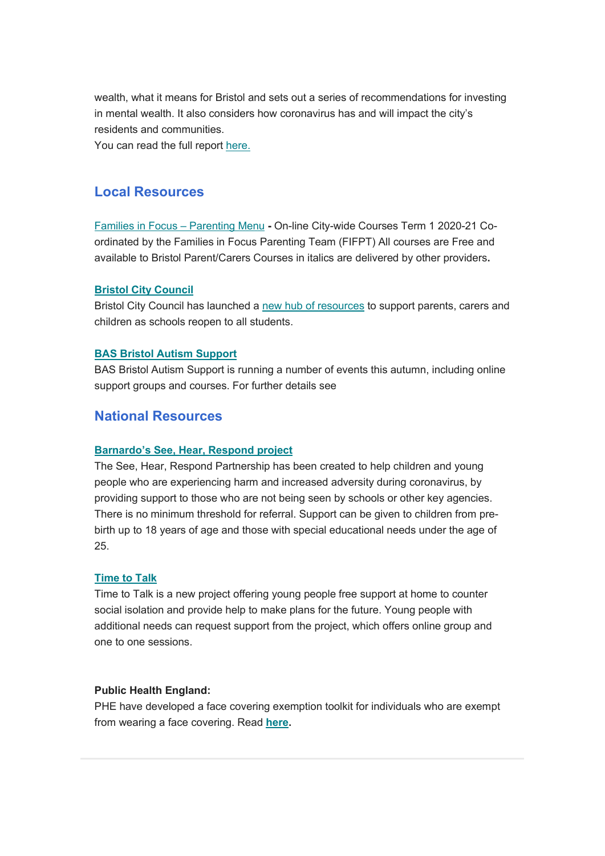wealth, what it means for Bristol and sets out a series of recommendations for investing in mental wealth. It also considers how coronavirus has and will impact the city's residents and communities.

You can read the full report here.

## **Local Resources**

[Families in Focus](https://www.bristol.gov.uk/documents/20182/33031/Parenting+courses+in+Bristol_.pdf/3701a6a9-5855-6458-60e8-dfc8f01412b9) – Parenting Menu **-** On-line City-wide Courses Term 1 2020-21 Coordinated by the Families in Focus Parenting Team (FIFPT) All courses are Free and available to Bristol Parent/Carers Courses in italics are delivered by other providers**.**

## **[Bristol City Council](https://www.bristol.gov.uk/web/guest/schools-learning-early-years/coronavirus-back-to-school-guide)**

Bristol City Council has launched a [new hub of resources](http://www.bristol.gov.uk/backtoschool) to support parents, carers and children as schools reopen to all students.

## **[BAS Bristol Autism Support](https://www.bristolautismsupport.com/whats-on/)**

BAS Bristol Autism Support is running a number of events this autumn, including online support groups and courses. For further details see

## **National Resources**

## **[Barnardo's See, Hear, Respond project](https://www.barnardos.org.uk/see-hear-respond)**

The See, Hear, Respond Partnership has been created to help children and young people who are experiencing harm and increased adversity during coronavirus, by providing support to those who are not being seen by schools or other key agencies. There is no minimum threshold for referral. Support can be given to children from prebirth up to 18 years of age and those with special educational needs under the age of 25.

#### **[Time to Talk](https://www.ndti.org.uk/our-work/areas-of-work/children-and-young-people3/time-to-talk/)**

Time to Talk is a new project offering young people free support at home to counter social isolation and provide help to make plans for the future. Young people with additional needs can request support from the project, which offers online group and one to one sessions.

#### **Public Health England:**

PHE have developed a face covering exemption toolkit for individuals who are exempt from wearing a face covering. Read **[here.](https://coronavirusresources.phe.gov.uk/stay-alert-to-stay-safe-/resources/face-coverings-exemptions-toolkit/)**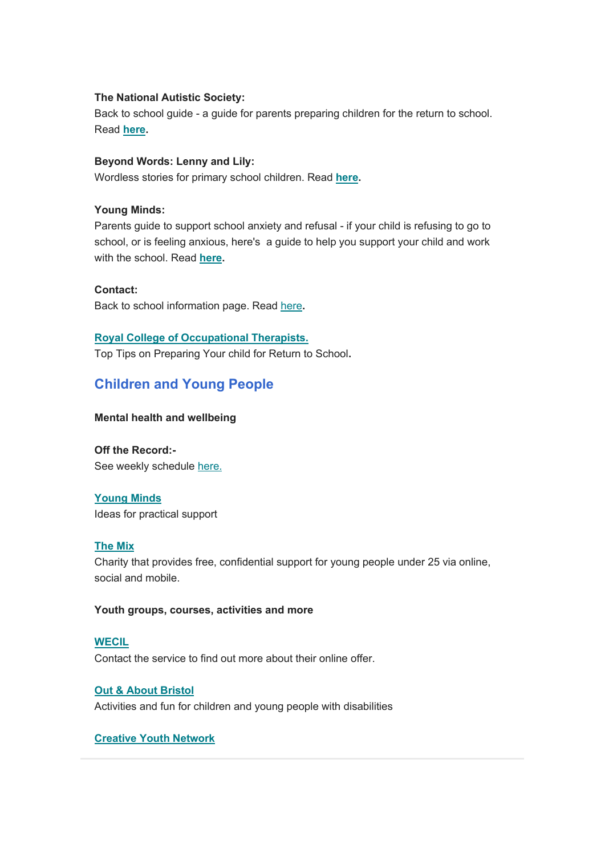## **The National Autistic Society:**

Back to school guide - a guide for parents preparing children for the return to school. Read **[here.](https://www.autism.org.uk/advice-and-guidance/topics/coronavirus/education-and-schools/guidance/a-guide-for-parents)**

## **Beyond Words: Lenny and Lily:**

Wordless stories for primary school children. Read **[here.](https://booksbeyondwords.co.uk/lenny-and-lily-childrens-stories)**

## **Young Minds:**

Parents guide to support school anxiety and refusal - if your child is refusing to go to school, or is feeling anxious, here's a guide to help you support your child and work with the school. Read **[here.](https://youngminds.org.uk/find-help/for-parents/parents-guide-to-support-a-z/parents-guide-to-support-school-anxiety-and-refusal/)**

## **Contact:**

Back to school information page. Read [here](https://contact.org.uk/advice-and-support/covid-19/back-to-school-advice-(england)/)**.**

## **[Royal College of Occupational Therapists.](https://www.rcot.co.uk/preparing-your-child-returning-school)**

Top Tips on Preparing Your child for Return to School**.**

# **Children and Young People**

## **Mental health and wellbeing**

**Off the Record:-** See weekly schedule [here.](https://www.otrbristol.org.uk/news/)

## **[Young Minds](https://youngminds.org.uk/find-help/feelings-and-symptoms/)**

Ideas for practical support

#### **[The Mix](https://www.themix.org.uk/?mc_cid=4a887f69d4&mc_eid=3170a37cb4)**

Charity that provides free, confidential support for young people under 25 via online, social and mobile.

## **Youth groups, courses, activities and more**

#### **[WECIL](https://wecil.co.uk/services-support/services-for-young-disabled-people)**

Contact the service to find out more about their online offer.

## **[Out & About Bristol](https://www.facebook.com/outandaboutbristol/)**

Activities and fun for children and young people with disabilities

## **[Creative Youth Network](https://www.creativeyouthnetwork.org.uk/Pages/Category/whats-on?Take=10)**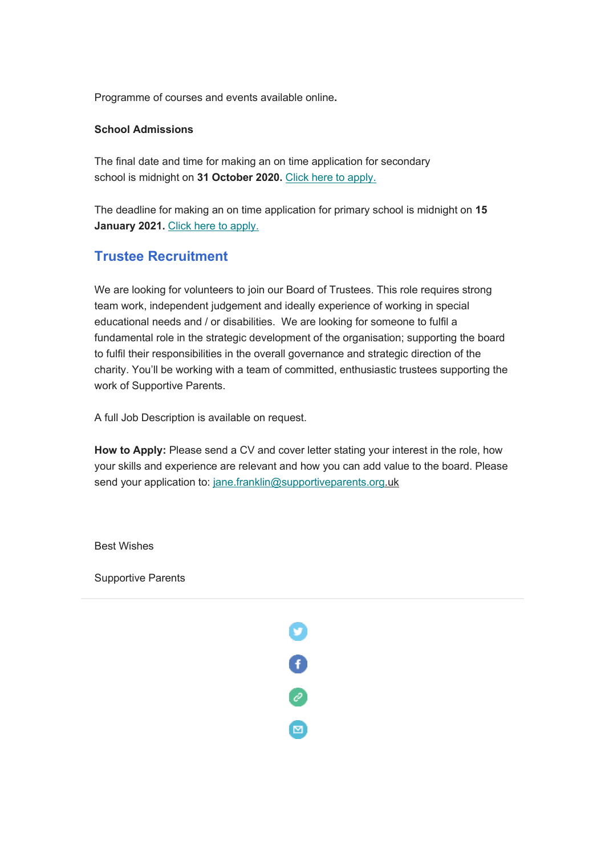Programme of courses and events available online**.**

## **School Admissions**

The final date and time for making an on time application for secondary school is midnight on **31 October 2020.** [Click here to apply.](https://www.bristol.gov.uk/schools-learning-early-years/secondary-apply)

The deadline for making an on time application for primary school is midnight on **15 January 2021.** [Click here to apply.](https://www.bristol.gov.uk/schools-learning-early-years/primary-apply)

# **Trustee Recruitment**

We are looking for volunteers to join our Board of Trustees. This role requires strong team work, independent judgement and ideally experience of working in special educational needs and / or disabilities. We are looking for someone to fulfil a fundamental role in the strategic development of the organisation; supporting the board to fulfil their responsibilities in the overall governance and strategic direction of the charity. You'll be working with a team of committed, enthusiastic trustees supporting the work of Supportive Parents.

A full Job Description is available on request.

**How to Apply:** Please send a CV and cover letter stating your interest in the role, how your skills and experience are relevant and how you can add value to the board. Please send your application to: [jane.franklin@supportiveparents.org.](mailto:jane.franklin@supportiveparents.org)uk

0<br>0<br>0

 $\blacksquare$ 

Best Wishes

Supportive Parents